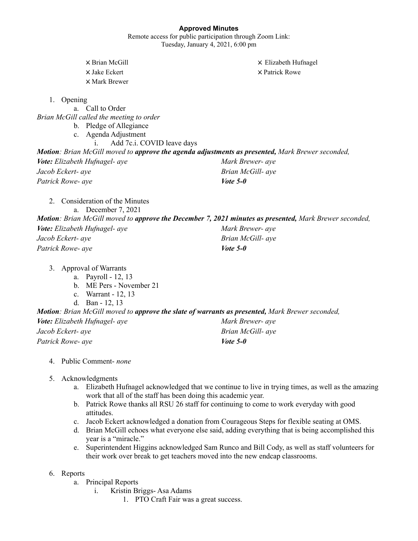### **Approved Minutes**

Remote access for public participation through Zoom Link: Tuesday, January 4, 2021, 6:00 pm

| × Elizabeth Hufnagel<br><b>× Patrick Rowe</b>                                                          |
|--------------------------------------------------------------------------------------------------------|
|                                                                                                        |
|                                                                                                        |
|                                                                                                        |
|                                                                                                        |
|                                                                                                        |
| Add 7c.i. COVID leave days                                                                             |
| Motion: Brian McGill moved to approve the agenda adjustments as presented, Mark Brewer seconded,       |
| Mark Brewer- aye                                                                                       |
| Brian McGill- aye                                                                                      |
| $Vote$ 5-0                                                                                             |
| Motion: Brian McGill moved to approve the December 7, 2021 minutes as presented, Mark Brewer seconded, |
| Mark Brewer- aye                                                                                       |
| Brian McGill- aye                                                                                      |
| $Vote$ 5-0                                                                                             |
|                                                                                                        |
| Motion: Brian McGill moved to approve the slate of warrants as presented, Mark Brewer seconded,        |
| Mark Brewer- aye                                                                                       |
| Brian McGill- aye                                                                                      |
| $Vote$ 5-0                                                                                             |
|                                                                                                        |

- 4. Public Comment- *none*
- 5. Acknowledgments
	- a. Elizabeth Hufnagel acknowledged that we continue to live in trying times, as well as the amazing work that all of the staff has been doing this academic year.
	- b. Patrick Rowe thanks all RSU 26 staff for continuing to come to work everyday with good attitudes.
	- c. Jacob Eckert acknowledged a donation from Courageous Steps for flexible seating at OMS.
	- d. Brian McGill echoes what everyone else said, adding everything that is being accomplished this year is a "miracle."
	- e. Superintendent Higgins acknowledged Sam Runco and Bill Cody, as well as staff volunteers for their work over break to get teachers moved into the new endcap classrooms.

### 6. Reports

- a. Principal Reports
	- i. Kristin Briggs- Asa Adams
		- 1. PTO Craft Fair was a great success.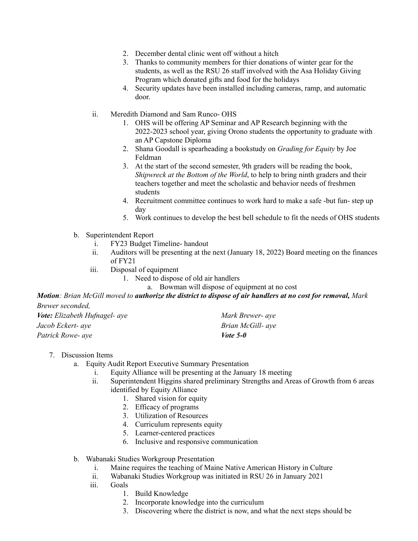- 2. December dental clinic went off without a hitch
- 3. Thanks to community members for thier donations of winter gear for the students, as well as the RSU 26 staff involved with the Asa Holiday Giving Program which donated gifts and food for the holidays
- 4. Security updates have been installed including cameras, ramp, and automatic door.
- ii. Meredith Diamond and Sam Runco- OHS
	- 1. OHS will be offering AP Seminar and AP Research beginning with the 2022-2023 school year, giving Orono students the opportunity to graduate with an AP Capstone Diploma
	- 2. Shana Goodall is spearheading a bookstudy on *Grading for Equity* by Joe Feldman
	- 3. At the start of the second semester, 9th graders will be reading the book, *Shipwreck at the Bottom of the World*, to help to bring ninth graders and their teachers together and meet the scholastic and behavior needs of freshmen students
	- 4. Recruitment committee continues to work hard to make a safe -but fun- step up day
	- 5. Work continues to develop the best bell schedule to fit the needs of OHS students
- b. Superintendent Report
	- i. FY23 Budget Timeline- handout
	- ii. Auditors will be presenting at the next (January 18, 2022) Board meeting on the finances of FY21
	- iii. Disposal of equipment
		- 1. Need to dispose of old air handlers
			- a. Bowman will dispose of equipment at no cost

Motion: Brian McGill moved to authorize the district to dispose of air handlers at no cost for removal, Mark *Brewer seconded,*

| Vote: Elizabeth Hufnagel- aye | Mark Brewer- aye  |
|-------------------------------|-------------------|
| Jacob Eckert- aye             | Brian McGill- aye |
| Patrick Rowe- aye             | <i>Vote</i> 5-0   |

- 7. Discussion Items
	- a. Equity Audit Report Executive Summary Presentation
		- i. Equity Alliance will be presenting at the January 18 meeting
		- ii. Superintendent Higgins shared preliminary Strengths and Areas of Growth from 6 areas identified by Equity Alliance
			- 1. Shared vision for equity
			- 2. Efficacy of programs
			- 3. Utilization of Resources
			- 4. Curriculum represents equity
			- 5. Learner-centered practices
			- 6. Inclusive and responsive communication
	- b. Wabanaki Studies Workgroup Presentation
		- i. Maine requires the teaching of Maine Native American History in Culture
		- ii. Wabanaki Studies Workgroup was initiated in RSU 26 in January 2021
		- iii. Goals
			- 1. Build Knowledge
			- 2. Incorporate knowledge into the curriculum
			- 3. Discovering where the district is now, and what the next steps should be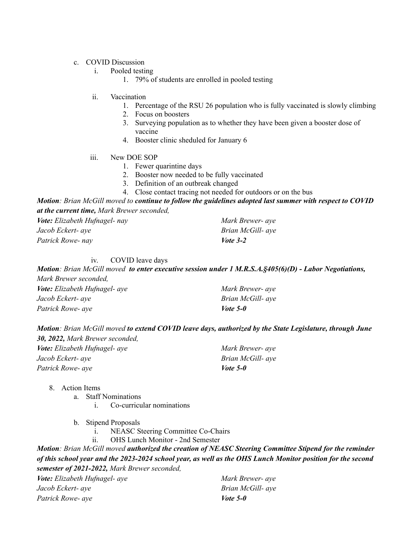#### c. COVID Discussion

- i. Pooled testing
	- 1. 79% of students are enrolled in pooled testing
- ii. Vaccination
	- 1. Percentage of the RSU 26 population who is fully vaccinated is slowly climbing
	- 2. Focus on boosters
	- 3. Surveying population as to whether they have been given a booster dose of vaccine
	- 4. Booster clinic sheduled for January 6
- iii. New DOE SOP
	- 1. Fewer quarintine days
	- 2. Booster now needed to be fully vaccinated
	- 3. Definition of an outbreak changed
	- 4. Close contact tracing not needed for outdoors or on the bus

# Motion: Brian McGill moved to continue to follow the guidelines adopted last summer with respect to COVID *at the current time, Mark Brewer seconded,*

| Vote: Elizabeth Hufnagel- nay | Mark Brewer- aye  |
|-------------------------------|-------------------|
| Jacob Eckert- aye             | Brian McGill- aye |
| Patrick Rowe-nay              | <i>Vote</i> $3-2$ |

iv. COVID leave days

*Motion: Brian McGill moved to enter executive session under 1 M.R.S.A.§405(6)(D) - Labor Negotiations, Mark Brewer seconded, Vote: Elizabeth Hufnagel- aye Jacob Eckert- aye Mark Brewer- aye Brian McGill- aye*

|                                        | Motion: Brian McGill moved to extend COVID leave days, authorized by the State Legislature, through June |
|----------------------------------------|----------------------------------------------------------------------------------------------------------|
| <b>30, 2022, Mark Brewer seconded,</b> |                                                                                                          |
| Vote: Elizabeth Hufnagel- aye          | Mark Brewer- aye                                                                                         |
| Jacob Eckert- aye                      | Brian McGill- aye                                                                                        |
| Patrick Rowe- aye                      | <i>Vote</i> 5-0                                                                                          |

*Vote 5-0*

8. Action Items

*Patrick Rowe- aye*

- a. Staff Nominations
	- i. Co-curricular nominations
- b. Stipend Proposals
	- i. NEASC Steering Committee Co-Chairs
	- ii. OHS Lunch Monitor 2nd Semester

*Motion: Brian McGill moved authorized the creation of NEASC Steering Committee Stipend for the reminder* of this school year and the 2023-2024 school year, as well as the OHS Lunch Monitor position for the second *semester of 2021-2022, Mark Brewer seconded,*

*Vote: Elizabeth Hufnagel- aye Jacob Eckert- aye Patrick Rowe- aye Mark Brewer- aye Brian McGill- aye Vote 5-0*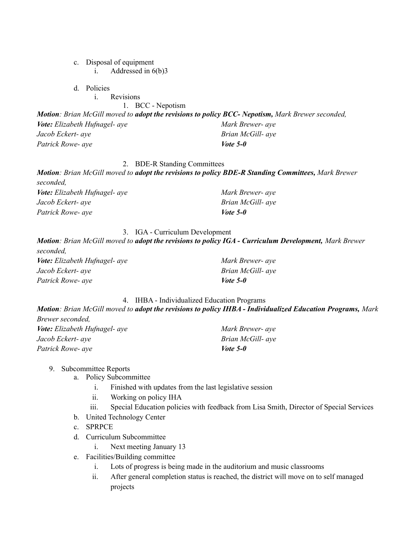- c. Disposal of equipment
	- i. Addressed in 6(b)3

d. Policies

i. Revisions

1. BCC - Nepotism

*Motion: Brian McGill moved to adopt the revisions to policy BCC- Nepotism, Mark Brewer seconded, Vote: Elizabeth Hufnagel- aye Jacob Eckert- aye Patrick Rowe- aye Mark Brewer- aye Brian McGill- aye Vote 5-0*

2. BDE-R Standing Committees

*Motion: Brian McGill moved to adopt the revisions to policy BDE-R Standing Committees, Mark Brewer seconded, Vote: Elizabeth Hufnagel- aye Mark Brewer- aye*

| $\sum$            | $\mu$             |
|-------------------|-------------------|
| Jacob Eckert- aye | Brian McGill- aye |
| Patrick Rowe- aye | <i>Vote</i> 5-0   |

### 3. IGA - Curriculum Development

*Motion: Brian McGill moved to adopt the revisions to policy IGA - Curriculum Development, Mark Brewer seconded, Vote: Elizabeth Hufnagel- aye Jacob Eckert- aye Patrick Rowe- aye Mark Brewer- aye Brian McGill- aye Vote 5-0*

## 4. IHBA - Individualized Education Programs

Motion: Brian McGill moved to adopt the revisions to policy IHBA - Individualized Education Programs, Mark *Brewer seconded, Vote: Elizabeth Hufnagel- aye Mark Brewer- aye*

*Jacob Eckert- aye Patrick Rowe- aye Brian McGill- aye Vote 5-0*

- 9. Subcommittee Reports
	- a. Policy Subcommittee
		- i. Finished with updates from the last legislative session
		- ii. Working on policy IHA
		- iii. Special Education policies with feedback from Lisa Smith, Director of Special Services
	- b. United Technology Center
	- c. SPRPCE
	- d. Curriculum Subcommittee
		- i. Next meeting January 13
	- e. Facilities/Building committee
		- i. Lots of progress is being made in the auditorium and music classrooms
		- ii. After general completion status is reached, the district will move on to self managed projects